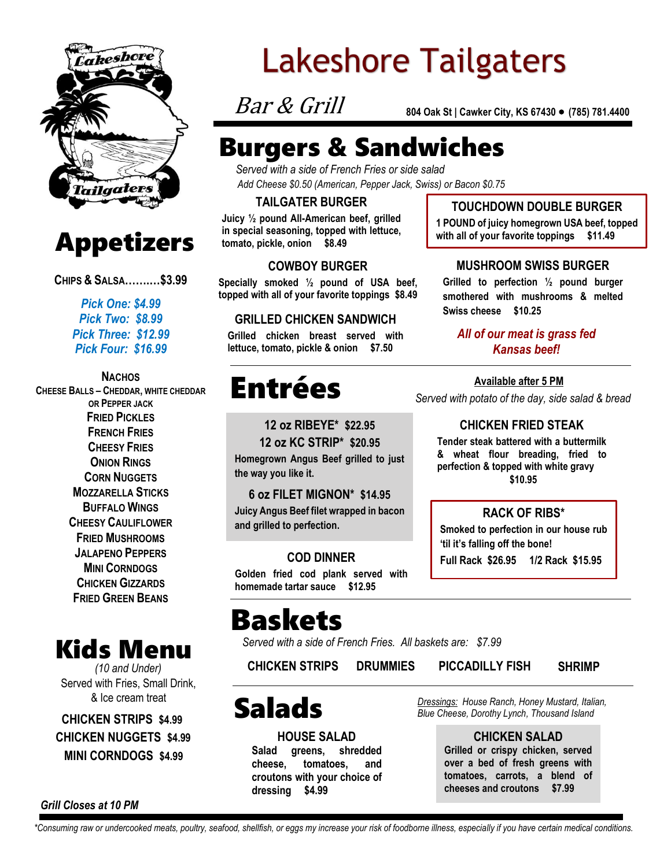



**CHIPS & SALSA…….…\$3.99**

*Pick One: \$4.99 Pick Two: \$8.99 Pick Three: \$12.99 Pick Four: \$16.99*

#### **NACHOS CHEESE BALLS – CHEDDAR, WHITE CHEDDAR OR PEPPER JACK FRIED PICKLES FRENCH FRIES CHEESY FRIES ONION RINGS CORN NUGGETS MOZZARELLA STICKS BUFFALO WINGS CHEESY CAULIFLOWER FRIED MUSHROOMS JALAPENO PEPPERS MINI CORNDOGS CHICKEN GIZZARDS FRIED GREEN BEANS**



*(10 and Under)* Served with Fries, Small Drink, & Ice cream treat

**MINI CORNDOGS \$4.99 CHICKEN STRIPS \$4.99 CHICKEN NUGGETS \$4.99**

# **Lakeshore Tailgaters**

Bar & Grill

**804 Oak St | Cawker City, KS 67430 ● (785) 781.4400** 

## Burgers & Sandwiches

*Served with a side of French Fries or side salad Add Cheese \$0.50 (American, Pepper Jack, Swiss) or Bacon \$0.75*

### **TAILGATER BURGER**

**Juicy ½ pound All-American beef, grilled in special seasoning, topped with lettuce, tomato, pickle, onion \$8.49**

### **COWBOY BURGER**

**Specially smoked ½ pound of USA beef, topped with all of your favorite toppings \$8.49**

#### **GRILLED CHICKEN SANDWICH**

**Grilled chicken breast served with lettuce, tomato, pickle & onion \$7.50**

## Entrées

**12 oz RIBEYE\* \$22.95**

**12 oz KC STRIP\* \$20.95 Homegrown Angus Beef grilled to just the way you like it.**

**6 oz FILET MIGNON\* \$14.95 Juicy Angus Beef filet wrapped in bacon and grilled to perfection.**

**COD DINNER Golden fried cod plank served with homemade tartar sauce \$12.95**

## Baskets

*Served with a side of French Fries. All baskets are: \$7.99*

**CHICKEN STRIPS DRUMMIES PICCADILLY FISH SHRIMP**

## Salads

**HOUSE SALAD Salad greens, shredded cheese, tomatoes, and croutons with your choice of dressing \$4.99**

*Dressings: House Ranch, Honey Mustard, Italian, Blue Cheese, Dorothy Lynch, Thousand Island*

> **CHICKEN SALAD Grilled or crispy chicken, served over a bed of fresh greens with tomatoes, carrots, a blend of cheeses and croutons \$7.99**

*Grill Closes at 10 PM*

*\*Consuming raw or undercooked meats, poultry, seafood, shellfish, or eggs my increase your risk of foodborne illness, especially if you have certain medical conditions.*

## **TOUCHDOWN DOUBLE BURGER**

**1 POUND of juicy homegrown USA beef, topped with all of your favorite toppings \$11.49**

#### **MUSHROOM SWISS BURGER**

**Grilled to perfection ½ pound burger smothered with mushrooms & melted Swiss cheese \$10.25**

#### *All of our meat is grass fed Kansas beef!*

*Served with potato of the day, side salad & bread* **Available after 5 PM**

## **CHICKEN FRIED STEAK**

**Tender steak battered with a buttermilk & wheat flour breading, fried to perfection & topped with white gravy \$10.95**

### **RACK OF RIBS\***

**Smoked to perfection in our house rub 'til it's falling off the bone! Full Rack \$26.95 1/2 Rack \$15.95**